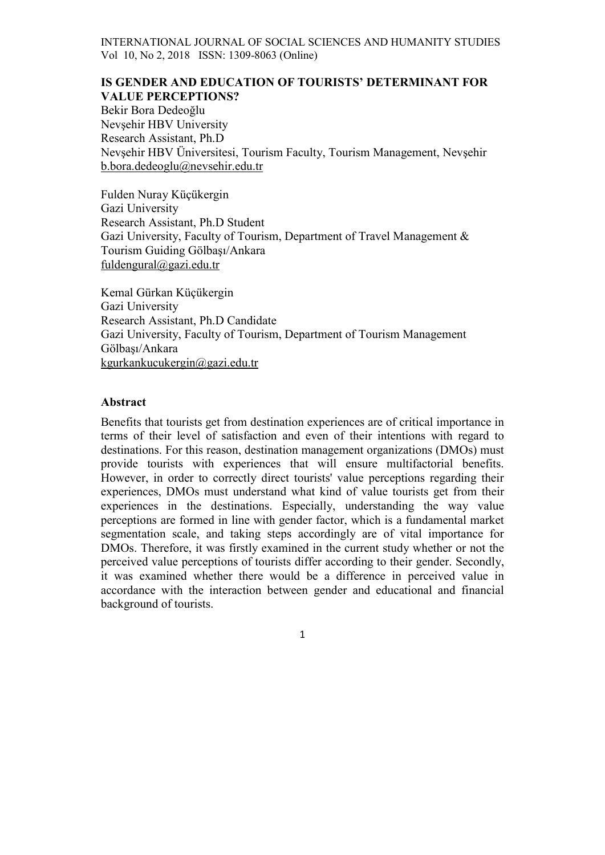# IS GENDER AND EDUCATION OF TOURISTS' DETERMINANT FOR VALUE PERCEPTIONS?

Bekir Bora Dedeoğlu Nevşehir HBV University Research Assistant, Ph.D Nevşehir HBV Üniversitesi, Tourism Faculty, Tourism Management, Nevşehir b.bora.dedeoglu@nevsehir.edu.tr

Fulden Nuray Küçükergin Gazi University Research Assistant, Ph.D Student Gazi University, Faculty of Tourism, Department of Travel Management & Tourism Guiding Gölbaşı/Ankara fuldengural@gazi.edu.tr

Kemal Gürkan Küçükergin Gazi University Research Assistant, Ph.D Candidate Gazi University, Faculty of Tourism, Department of Tourism Management Gölbaşı/Ankara kgurkankucukergin@gazi.edu.tr

# Abstract

Benefits that tourists get from destination experiences are of critical importance in terms of their level of satisfaction and even of their intentions with regard to destinations. For this reason, destination management organizations (DMOs) must provide tourists with experiences that will ensure multifactorial benefits. However, in order to correctly direct tourists' value perceptions regarding their experiences, DMOs must understand what kind of value tourists get from their experiences in the destinations. Especially, understanding the way value perceptions are formed in line with gender factor, which is a fundamental market segmentation scale, and taking steps accordingly are of vital importance for DMOs. Therefore, it was firstly examined in the current study whether or not the perceived value perceptions of tourists differ according to their gender. Secondly, it was examined whether there would be a difference in perceived value in accordance with the interaction between gender and educational and financial background of tourists.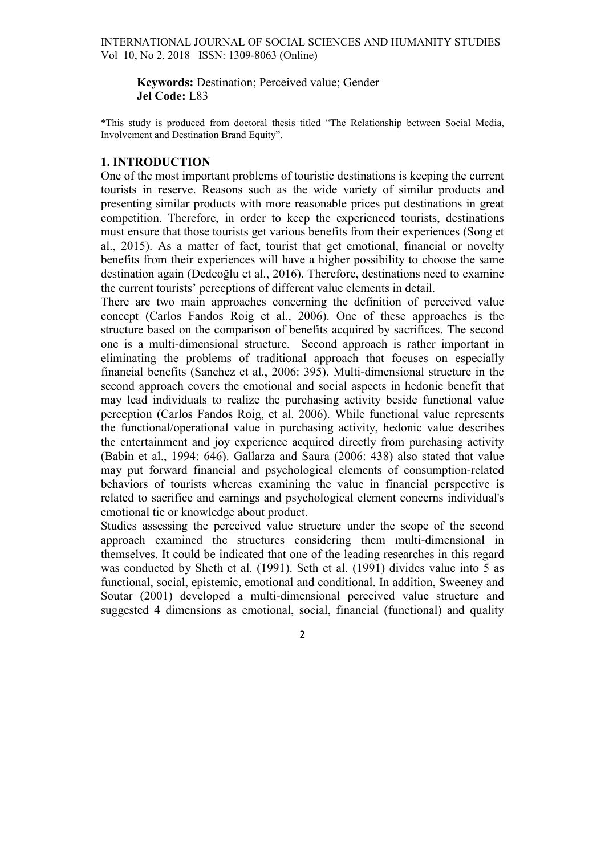Keywords: Destination; Perceived value; Gender Jel Code: L83

\*This study is produced from doctoral thesis titled "The Relationship between Social Media, Involvement and Destination Brand Equity".

# 1. INTRODUCTION

One of the most important problems of touristic destinations is keeping the current tourists in reserve. Reasons such as the wide variety of similar products and presenting similar products with more reasonable prices put destinations in great competition. Therefore, in order to keep the experienced tourists, destinations must ensure that those tourists get various benefits from their experiences (Song et al., 2015). As a matter of fact, tourist that get emotional, financial or novelty benefits from their experiences will have a higher possibility to choose the same destination again (Dedeoğlu et al., 2016). Therefore, destinations need to examine the current tourists' perceptions of different value elements in detail.

There are two main approaches concerning the definition of perceived value concept (Carlos Fandos Roig et al., 2006). One of these approaches is the structure based on the comparison of benefits acquired by sacrifices. The second one is a multi-dimensional structure. Second approach is rather important in eliminating the problems of traditional approach that focuses on especially financial benefits (Sanchez et al., 2006: 395). Multi-dimensional structure in the second approach covers the emotional and social aspects in hedonic benefit that may lead individuals to realize the purchasing activity beside functional value perception (Carlos Fandos Roig, et al. 2006). While functional value represents the functional/operational value in purchasing activity, hedonic value describes the entertainment and joy experience acquired directly from purchasing activity (Babin et al., 1994: 646). Gallarza and Saura (2006: 438) also stated that value may put forward financial and psychological elements of consumption-related behaviors of tourists whereas examining the value in financial perspective is related to sacrifice and earnings and psychological element concerns individual's emotional tie or knowledge about product.

Studies assessing the perceived value structure under the scope of the second approach examined the structures considering them multi-dimensional in themselves. It could be indicated that one of the leading researches in this regard was conducted by Sheth et al. (1991). Seth et al. (1991) divides value into 5 as functional, social, epistemic, emotional and conditional. In addition, Sweeney and Soutar (2001) developed a multi-dimensional perceived value structure and suggested 4 dimensions as emotional, social, financial (functional) and quality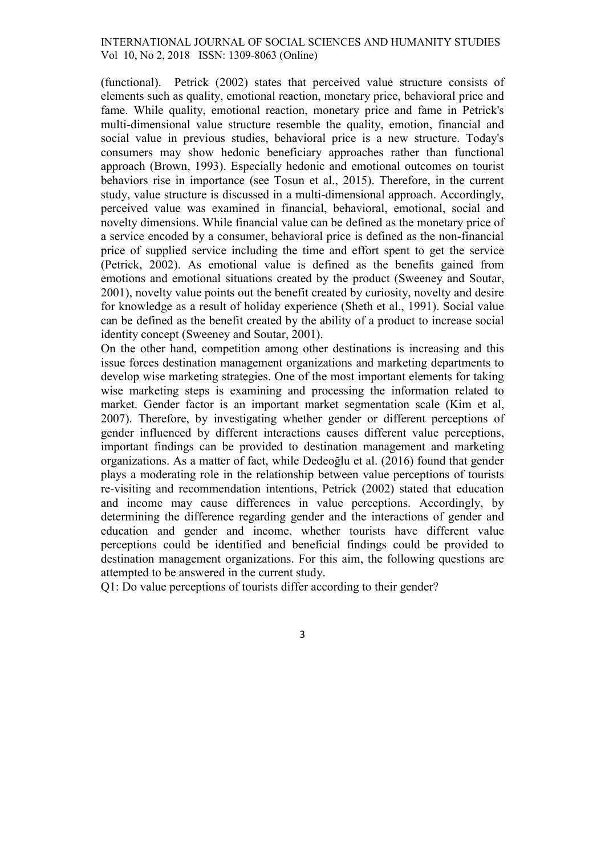(functional). Petrick (2002) states that perceived value structure consists of elements such as quality, emotional reaction, monetary price, behavioral price and fame. While quality, emotional reaction, monetary price and fame in Petrick's multi-dimensional value structure resemble the quality, emotion, financial and social value in previous studies, behavioral price is a new structure. Today's consumers may show hedonic beneficiary approaches rather than functional approach (Brown, 1993). Especially hedonic and emotional outcomes on tourist behaviors rise in importance (see Tosun et al., 2015). Therefore, in the current study, value structure is discussed in a multi-dimensional approach. Accordingly, perceived value was examined in financial, behavioral, emotional, social and novelty dimensions. While financial value can be defined as the monetary price of a service encoded by a consumer, behavioral price is defined as the non-financial price of supplied service including the time and effort spent to get the service (Petrick, 2002). As emotional value is defined as the benefits gained from emotions and emotional situations created by the product (Sweeney and Soutar, 2001), novelty value points out the benefit created by curiosity, novelty and desire for knowledge as a result of holiday experience (Sheth et al., 1991). Social value can be defined as the benefit created by the ability of a product to increase social identity concept (Sweeney and Soutar, 2001).

On the other hand, competition among other destinations is increasing and this issue forces destination management organizations and marketing departments to develop wise marketing strategies. One of the most important elements for taking wise marketing steps is examining and processing the information related to market. Gender factor is an important market segmentation scale (Kim et al, 2007). Therefore, by investigating whether gender or different perceptions of gender influenced by different interactions causes different value perceptions, important findings can be provided to destination management and marketing organizations. As a matter of fact, while Dedeoğlu et al. (2016) found that gender plays a moderating role in the relationship between value perceptions of tourists re-visiting and recommendation intentions, Petrick (2002) stated that education and income may cause differences in value perceptions. Accordingly, by determining the difference regarding gender and the interactions of gender and education and gender and income, whether tourists have different value perceptions could be identified and beneficial findings could be provided to destination management organizations. For this aim, the following questions are attempted to be answered in the current study.

Q1: Do value perceptions of tourists differ according to their gender?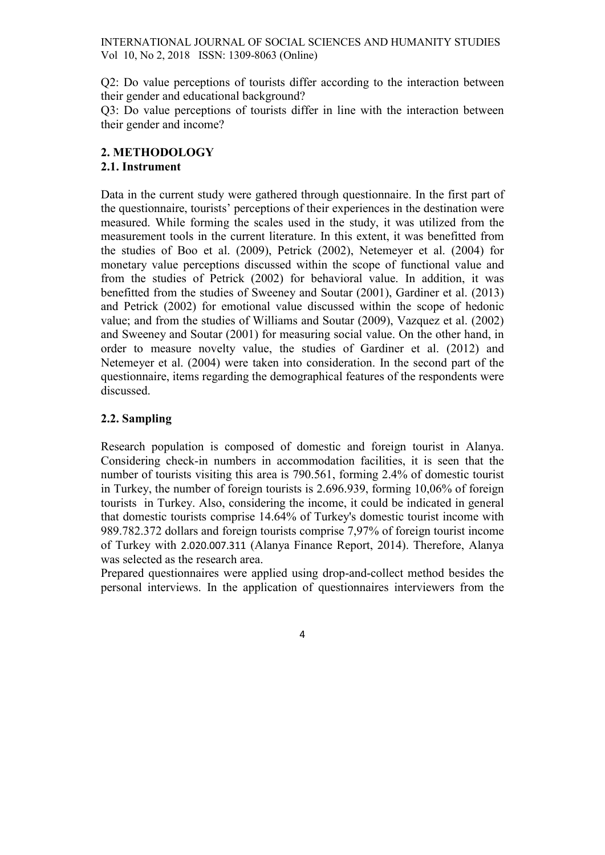Q2: Do value perceptions of tourists differ according to the interaction between their gender and educational background?

Q3: Do value perceptions of tourists differ in line with the interaction between their gender and income?

# 2. METHODOLOGY

# 2.1. Instrument

Data in the current study were gathered through questionnaire. In the first part of the questionnaire, tourists' perceptions of their experiences in the destination were measured. While forming the scales used in the study, it was utilized from the measurement tools in the current literature. In this extent, it was benefitted from the studies of Boo et al. (2009), Petrick (2002), Netemeyer et al. (2004) for monetary value perceptions discussed within the scope of functional value and from the studies of Petrick (2002) for behavioral value. In addition, it was benefitted from the studies of Sweeney and Soutar (2001), Gardiner et al. (2013) and Petrick (2002) for emotional value discussed within the scope of hedonic value; and from the studies of Williams and Soutar (2009), Vazquez et al. (2002) and Sweeney and Soutar (2001) for measuring social value. On the other hand, in order to measure novelty value, the studies of Gardiner et al. (2012) and Netemeyer et al. (2004) were taken into consideration. In the second part of the questionnaire, items regarding the demographical features of the respondents were discussed.

# 2.2. Sampling

Research population is composed of domestic and foreign tourist in Alanya. Considering check-in numbers in accommodation facilities, it is seen that the number of tourists visiting this area is 790.561, forming 2.4% of domestic tourist in Turkey, the number of foreign tourists is 2.696.939, forming 10,06% of foreign tourists in Turkey. Also, considering the income, it could be indicated in general that domestic tourists comprise 14.64% of Turkey's domestic tourist income with 989.782.372 dollars and foreign tourists comprise 7,97% of foreign tourist income of Turkey with 2.020.007.311 (Alanya Finance Report, 2014). Therefore, Alanya was selected as the research area.

Prepared questionnaires were applied using drop-and-collect method besides the personal interviews. In the application of questionnaires interviewers from the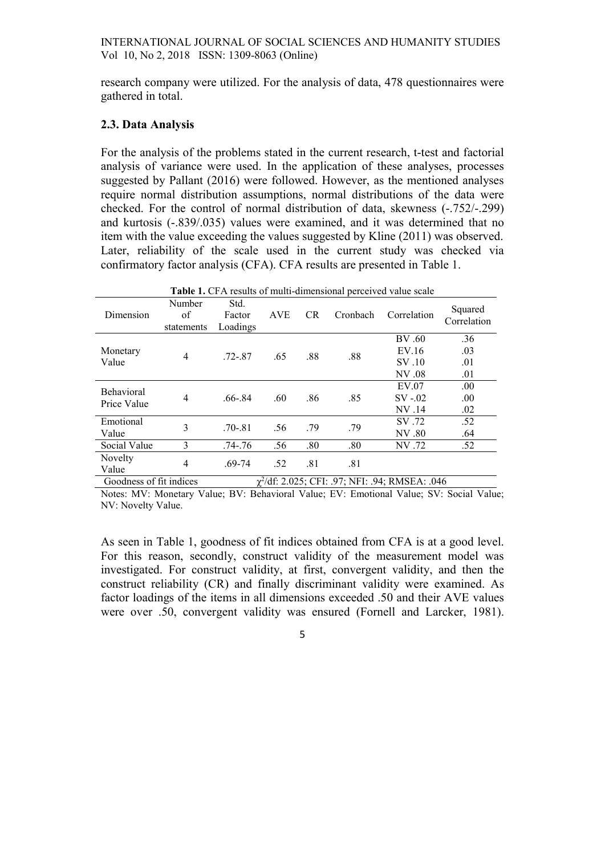research company were utilized. For the analysis of data, 478 questionnaires were gathered in total.

#### 2.3. Data Analysis

For the analysis of the problems stated in the current research, t-test and factorial analysis of variance were used. In the application of these analyses, processes suggested by Pallant (2016) were followed. However, as the mentioned analyses require normal distribution assumptions, normal distributions of the data were checked. For the control of normal distribution of data, skewness (-.752/-.299) and kurtosis (-.839/.035) values were examined, and it was determined that no item with the value exceeding the values suggested by Kline (2011) was observed. Later, reliability of the scale used in the current study was checked via confirmatory factor analysis (CFA). CFA results are presented in Table 1.

| Table 1. CFA results of multi-dimensional perceived value scale |                            |                            |                      |           |          |                                    |                          |  |  |  |
|-----------------------------------------------------------------|----------------------------|----------------------------|----------------------|-----------|----------|------------------------------------|--------------------------|--|--|--|
| Dimension                                                       | Number<br>of<br>statements | Std.<br>Factor<br>Loadings | <b>AVE</b>           | <b>CR</b> | Cronbach | Correlation                        | Squared<br>Correlation   |  |  |  |
| Monetary<br>Value                                               | 4                          | .72-.87                    | .65                  | .88       | .88      | BV .60<br>EV.16<br>SV.10<br>NV .08 | .36<br>.03<br>.01<br>.01 |  |  |  |
| <b>Behavioral</b><br>Price Value                                | $\overline{4}$             | $.66 - .84$                | .60                  | .86       | .85      | EV.07<br>$SV -02$<br>NV .14        | .00<br>.00<br>.02        |  |  |  |
| Emotional<br>Value                                              | 3                          | $.70 - .81$                | .56                  | .79       | .79      | SV.72<br>NV .80                    | .52<br>.64               |  |  |  |
| Social Value                                                    | 3                          | .74-.76                    | .56                  | .80       | .80      | NV .72                             | .52                      |  |  |  |
| Novelty<br>Value                                                | 4                          | .69-74                     | .52<br>$\sim$ $\sim$ | .81       | .81      |                                    |                          |  |  |  |

Goodness of fit indices /df: 2.025; CFI: .97; NFI: .94; RMSEA: .046

Notes: MV: Monetary Value; BV: Behavioral Value; EV: Emotional Value; SV: Social Value; NV: Novelty Value.

As seen in Table 1, goodness of fit indices obtained from CFA is at a good level. For this reason, secondly, construct validity of the measurement model was investigated. For construct validity, at first, convergent validity, and then the construct reliability (CR) and finally discriminant validity were examined. As factor loadings of the items in all dimensions exceeded .50 and their AVE values were over .50, convergent validity was ensured (Fornell and Larcker, 1981).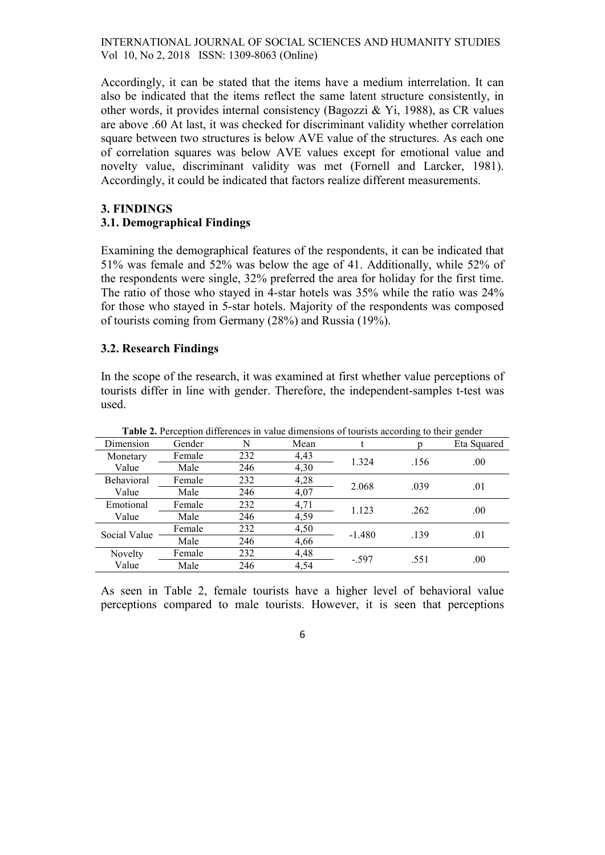Accordingly, it can be stated that the items have a medium interrelation. It can also be indicated that the items reflect the same latent structure consistently, in other words, it provides internal consistency (Bagozzi & Yi, 1988), as CR values are above .60 At last, it was checked for discriminant validity whether correlation square between two structures is below AVE value of the structures. As each one of correlation squares was below AVE values except for emotional value and novelty value, discriminant validity was met (Fornell and Larcker, 1981). Accordingly, it could be indicated that factors realize different measurements.

# 3. FINDINGS

# 3.1. Demographical Findings

Examining the demographical features of the respondents, it can be indicated that 51% was female and 52% was below the age of 41. Additionally, while 52% of the respondents were single, 32% preferred the area for holiday for the first time. The ratio of those who stayed in 4-star hotels was 35% while the ratio was 24% for those who stayed in 5-star hotels. Majority of the respondents was composed of tourists coming from Germany (28%) and Russia (19%).

# 3.2. Research Findings

In the scope of the research, it was examined at first whether value perceptions of tourists differ in line with gender. Therefore, the independent-samples t-test was used.

| <b>Table 2.</b> Perception differences in value dimensions of tourists according to their gender |        |     |      |          |      |             |  |  |  |  |
|--------------------------------------------------------------------------------------------------|--------|-----|------|----------|------|-------------|--|--|--|--|
| Dimension                                                                                        | Gender | N   | Mean |          |      | Eta Squared |  |  |  |  |
| Monetary                                                                                         | Female | 232 | 4,43 | 1.324    | .156 | .00.        |  |  |  |  |
| Value                                                                                            | Male   | 246 | 4,30 |          |      |             |  |  |  |  |
| Behavioral                                                                                       | Female | 232 | 4,28 | 2.068    | .039 | .01         |  |  |  |  |
| Value                                                                                            | Male   | 246 | 4,07 |          |      |             |  |  |  |  |
| Emotional                                                                                        | Female | 232 | 4,71 | 1.123    | .262 | .00.        |  |  |  |  |
| Value                                                                                            | Male   | 246 | 4,59 |          |      |             |  |  |  |  |
| Social Value                                                                                     | Female | 232 | 4,50 | $-1.480$ | .139 | .01         |  |  |  |  |
|                                                                                                  | Male   | 246 | 4,66 |          |      |             |  |  |  |  |
| Novelty                                                                                          | Female | 232 | 4,48 | $-.597$  | .551 | .00.        |  |  |  |  |
| Value                                                                                            | Male   | 246 | 4.54 |          |      |             |  |  |  |  |

Table 2. Perception differences in value dimensions of tourists according to their gender

As seen in Table 2, female tourists have a higher level of behavioral value perceptions compared to male tourists. However, it is seen that perceptions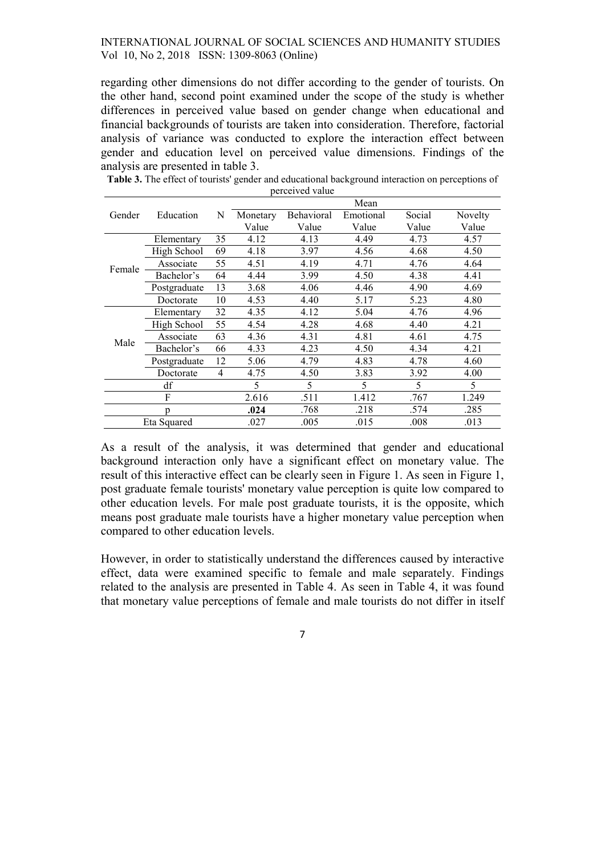regarding other dimensions do not differ according to the gender of tourists. On the other hand, second point examined under the scope of the study is whether differences in perceived value based on gender change when educational and financial backgrounds of tourists are taken into consideration. Therefore, factorial analysis of variance was conducted to explore the interaction effect between gender and education level on perceived value dimensions. Findings of the analysis are presented in table 3.

|             |              |    | Mean     |            |           |        |         |  |  |
|-------------|--------------|----|----------|------------|-----------|--------|---------|--|--|
| Gender      | Education    | N  | Monetary | Behavioral | Emotional | Social | Novelty |  |  |
|             |              |    | Value    | Value      | Value     | Value  | Value   |  |  |
|             | Elementary   | 35 | 4.12     | 4.13       | 4.49      | 4.73   | 4.57    |  |  |
|             | High School  | 69 | 4.18     | 3.97       | 4.56      | 4.68   | 4.50    |  |  |
|             | Associate    | 55 | 4.51     | 4.19       | 4.71      | 4.76   | 4.64    |  |  |
| Female      | Bachelor's   | 64 | 4.44     | 3.99       | 4.50      | 4.38   | 4.41    |  |  |
|             | Postgraduate | 13 | 3.68     | 4.06       | 4.46      | 4.90   | 4.69    |  |  |
|             | Doctorate    | 10 | 4.53     | 4.40       | 5.17      | 5.23   | 4.80    |  |  |
|             | Elementary   | 32 | 4.35     | 4.12       | 5.04      | 4.76   | 4.96    |  |  |
|             | High School  | 55 | 4.54     | 4.28       | 4.68      | 4.40   | 4.21    |  |  |
| Male        | Associate    | 63 | 4.36     | 4.31       | 4.81      | 4.61   | 4.75    |  |  |
|             | Bachelor's   | 66 | 4.33     | 4.23       | 4.50      | 4.34   | 4.21    |  |  |
|             | Postgraduate | 12 | 5.06     | 4.79       | 4.83      | 4.78   | 4.60    |  |  |
|             | Doctorate    | 4  | 4.75     | 4.50       | 3.83      | 3.92   | 4.00    |  |  |
| df          |              |    | 5        | 5          | 5         | 5      | 5       |  |  |
| F           |              |    | 2.616    | .511       | 1.412     | .767   | 1.249   |  |  |
| n           |              |    | .024     | .768       | .218      | .574   | .285    |  |  |
| Eta Squared |              |    | .027     | .005       | .015      | .008   | .013    |  |  |

Table 3. The effect of tourists' gender and educational background interaction on perceptions of perceived value

As a result of the analysis, it was determined that gender and educational background interaction only have a significant effect on monetary value. The result of this interactive effect can be clearly seen in Figure 1. As seen in Figure 1, post graduate female tourists' monetary value perception is quite low compared to other education levels. For male post graduate tourists, it is the opposite, which means post graduate male tourists have a higher monetary value perception when compared to other education levels.

However, in order to statistically understand the differences caused by interactive effect, data were examined specific to female and male separately. Findings related to the analysis are presented in Table 4. As seen in Table 4, it was found that monetary value perceptions of female and male tourists do not differ in itself

7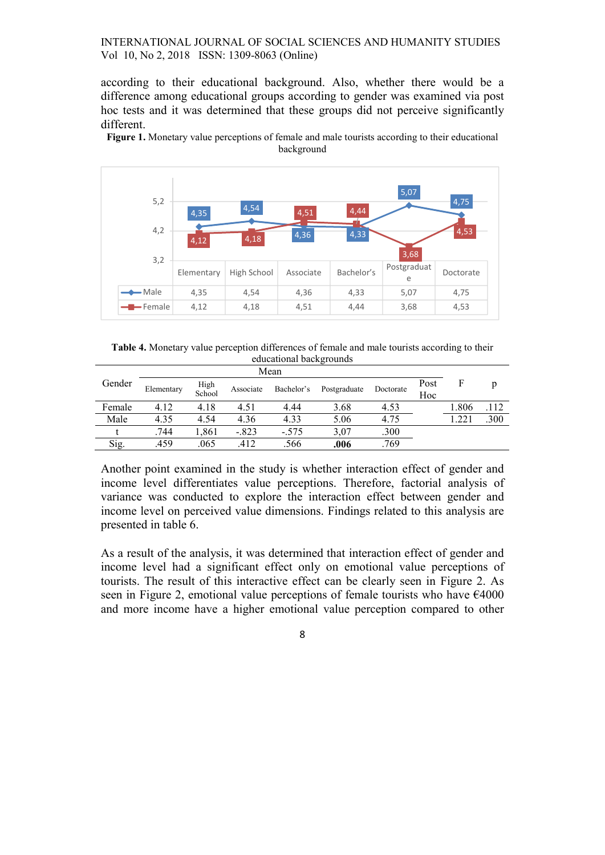according to their educational background. Also, whether there would be a difference among educational groups according to gender was examined via post hoc tests and it was determined that these groups did not perceive significantly different.

Figure 1. Monetary value perceptions of female and male tourists according to their educational background



Table 4. Monetary value perception differences of female and male tourists according to their educational backgrounds

| Gender | Elementary | High<br>School | Associate | Bachelor's | Postgraduate | Doctorate | Post<br>Hoc | F     | D    |
|--------|------------|----------------|-----------|------------|--------------|-----------|-------------|-------|------|
| Female | 4.12       | 4.18           | 4.51      | 4.44       | 3.68         | 4.53      |             | 1.806 | .112 |
| Male   | 4.35       | 4.54           | 4.36      | 4.33       | 5.06         | 4.75      |             | .221  | .300 |
|        | .744       | ,861           | $-.823$   | $-.575$    | 3,07         | .300      |             |       |      |
| Sig.   | .459       | .065           | .412      | .566       | .006         | .769      |             |       |      |

Another point examined in the study is whether interaction effect of gender and income level differentiates value perceptions. Therefore, factorial analysis of variance was conducted to explore the interaction effect between gender and income level on perceived value dimensions. Findings related to this analysis are presented in table 6.

As a result of the analysis, it was determined that interaction effect of gender and income level had a significant effect only on emotional value perceptions of tourists. The result of this interactive effect can be clearly seen in Figure 2. As seen in Figure 2, emotional value perceptions of female tourists who have €4000 and more income have a higher emotional value perception compared to other

8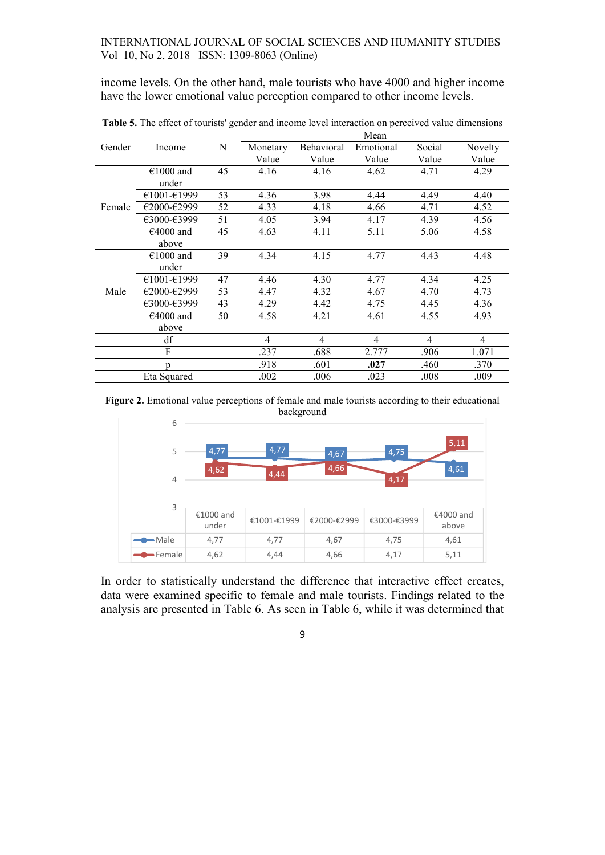income levels. On the other hand, male tourists who have 4000 and higher income have the lower emotional value perception compared to other income levels.

|             |             |      | Mean                     |                |                |                          |                |  |  |
|-------------|-------------|------|--------------------------|----------------|----------------|--------------------------|----------------|--|--|
| Gender      | Income      | N    | Monetary                 | Behavioral     | Emotional      | Social                   | Novelty        |  |  |
|             |             |      | Value                    | Value          | Value          | Value                    | Value          |  |  |
|             | €1000 and   | 45   | 4.16                     | 4.16           | 4.62           | 4.71                     | 4.29           |  |  |
|             | under       |      |                          |                |                |                          |                |  |  |
|             | €1001-€1999 | 53   | 4.36                     | 3.98           | 4.44           | 4.49                     | 4.40           |  |  |
| Female      | €2000-€2999 | 52   | 4.33                     | 4.18           | 4.66           | 4.71                     | 4.52           |  |  |
|             | €3000-€3999 | 51   | 4.05                     | 3.94           | 4.17           | 4.39                     | 4.56           |  |  |
|             | $€4000$ and | 45   | 4.63                     | 4.11           | 5.11           | 5.06                     | 4.58           |  |  |
|             | above       |      |                          |                |                |                          |                |  |  |
|             | $€1000$ and | 39   | 4.34                     | 4.15           | 4.77           | 4.43                     | 4.48           |  |  |
|             | under       |      |                          |                |                |                          |                |  |  |
|             | €1001-€1999 | 47   | 4.46                     | 4.30           | 4.77           | 4.34                     | 4.25           |  |  |
| Male        | €2000-€2999 | 53   | 4.47                     | 4.32           | 4.67           | 4.70                     | 4.73           |  |  |
|             | €3000-€3999 | 43   | 4.29                     | 4.42           | 4.75           | 4.45                     | 4.36           |  |  |
|             | $€4000$ and | 50   | 4.58                     | 4.21           | 4.61           | 4.55                     | 4.93           |  |  |
|             | above       |      |                          |                |                |                          |                |  |  |
|             | df          |      | $\overline{\mathcal{L}}$ | $\overline{4}$ | $\overline{4}$ | $\overline{\mathcal{L}}$ | $\overline{4}$ |  |  |
| F           |             | .237 | .688                     | 2.777          | .906           | 1.071                    |                |  |  |
| n           |             | .918 | .601                     | .027           | .460           | .370                     |                |  |  |
| Eta Squared |             | .002 | .006                     | .023           | .008           | .009                     |                |  |  |

Table 5. The effect of tourists' gender and income level interaction on perceived value dimensions

Figure 2. Emotional value perceptions of female and male tourists according to their educational background



In order to statistically understand the difference that interactive effect creates, data were examined specific to female and male tourists. Findings related to the analysis are presented in Table 6. As seen in Table 6, while it was determined that

9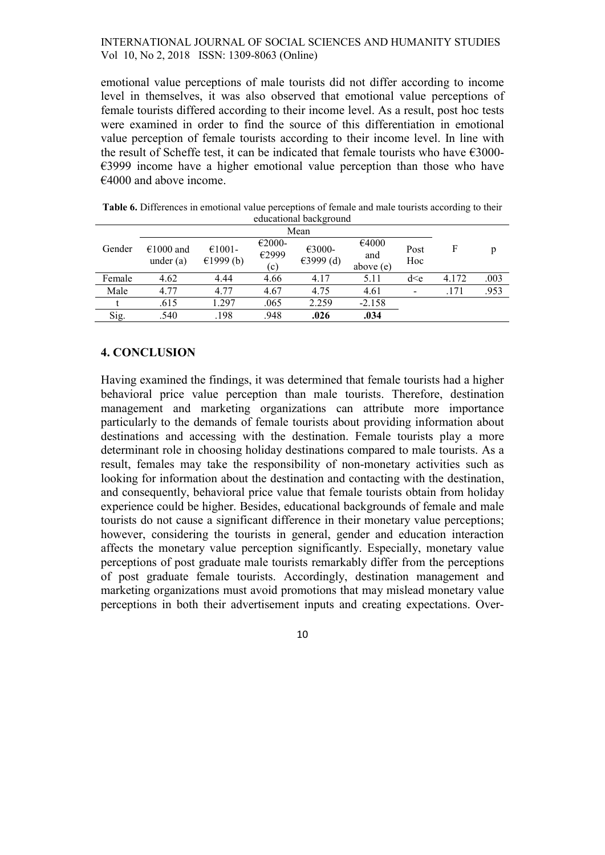emotional value perceptions of male tourists did not differ according to income level in themselves, it was also observed that emotional value perceptions of female tourists differed according to their income level. As a result, post hoc tests were examined in order to find the source of this differentiation in emotional value perception of female tourists according to their income level. In line with the result of Scheffe test, it can be indicated that female tourists who have  $\epsilon$ 3000-€3999 income have a higher emotional value perception than those who have  $€4000$  and above income.

| <b>Table 6.</b> Differences in emotional value perceptions of female and male tourists according to their |  |  |  |  |  |  |  |  |  |
|-----------------------------------------------------------------------------------------------------------|--|--|--|--|--|--|--|--|--|
| educational background                                                                                    |  |  |  |  |  |  |  |  |  |
| Mean                                                                                                      |  |  |  |  |  |  |  |  |  |

| Gender | $€1000$ and<br>under $(a)$ | $€1001-$<br>€1999 $(b)$ | $€2000-$<br>€2999<br>(c) | $€3000-$<br>€3999 $(d)$ | €4000<br>and<br>above (e) | Post<br>Hoc | F     | D    |
|--------|----------------------------|-------------------------|--------------------------|-------------------------|---------------------------|-------------|-------|------|
| Female | 4.62                       | 4.44                    | 4.66                     | 4.17                    | 5.11                      | d < e       | 4.172 | .003 |
| Male   | 4.77                       | 4.77                    | 4.67                     | 4.75                    | 4.61                      |             | .171  | .953 |
|        | .615                       | 1.297                   | .065                     | 2.259                   | $-2.158$                  |             |       |      |
| Sig.   | .540                       | .198                    | .948                     | .026                    | .034                      |             |       |      |

# 4. CONCLUSION

Having examined the findings, it was determined that female tourists had a higher behavioral price value perception than male tourists. Therefore, destination management and marketing organizations can attribute more importance particularly to the demands of female tourists about providing information about destinations and accessing with the destination. Female tourists play a more determinant role in choosing holiday destinations compared to male tourists. As a result, females may take the responsibility of non-monetary activities such as looking for information about the destination and contacting with the destination, and consequently, behavioral price value that female tourists obtain from holiday experience could be higher. Besides, educational backgrounds of female and male tourists do not cause a significant difference in their monetary value perceptions; however, considering the tourists in general, gender and education interaction affects the monetary value perception significantly. Especially, monetary value perceptions of post graduate male tourists remarkably differ from the perceptions of post graduate female tourists. Accordingly, destination management and marketing organizations must avoid promotions that may mislead monetary value perceptions in both their advertisement inputs and creating expectations. Over-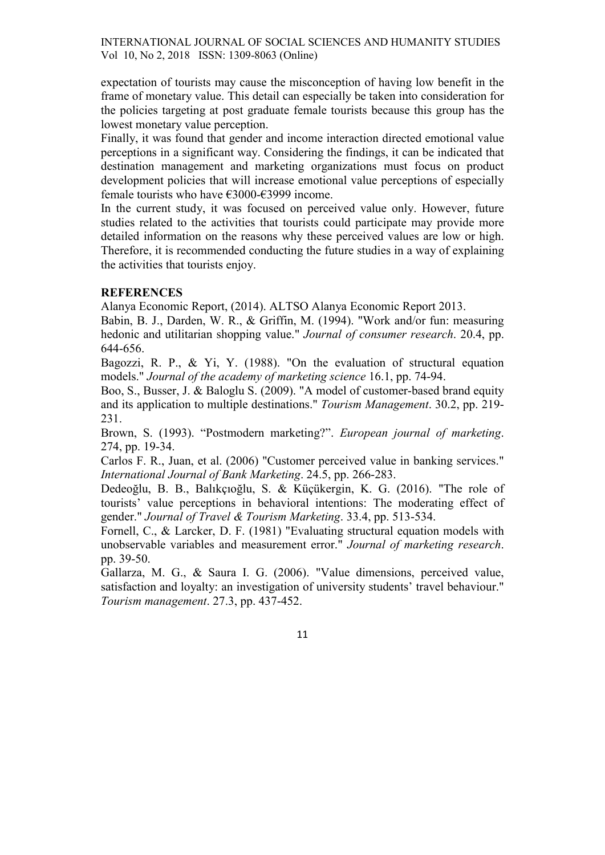expectation of tourists may cause the misconception of having low benefit in the frame of monetary value. This detail can especially be taken into consideration for the policies targeting at post graduate female tourists because this group has the lowest monetary value perception.

Finally, it was found that gender and income interaction directed emotional value perceptions in a significant way. Considering the findings, it can be indicated that destination management and marketing organizations must focus on product development policies that will increase emotional value perceptions of especially female tourists who have €3000-€3999 income.

In the current study, it was focused on perceived value only. However, future studies related to the activities that tourists could participate may provide more detailed information on the reasons why these perceived values are low or high. Therefore, it is recommended conducting the future studies in a way of explaining the activities that tourists enjoy.

# **REFERENCES**

Alanya Economic Report, (2014). ALTSO Alanya Economic Report 2013.

Babin, B. J., Darden, W. R., & Griffin, M. (1994). "Work and/or fun: measuring hedonic and utilitarian shopping value." Journal of consumer research. 20.4, pp. 644-656.

Bagozzi, R. P., & Yi, Y. (1988). "On the evaluation of structural equation models." Journal of the academy of marketing science 16.1, pp. 74-94.

Boo, S., Busser, J. & Baloglu S. (2009). "A model of customer-based brand equity and its application to multiple destinations." Tourism Management. 30.2, pp. 219- 231.

Brown, S. (1993). "Postmodern marketing?". European journal of marketing. 274, pp. 19-34.

Carlos F. R., Juan, et al. (2006) "Customer perceived value in banking services." International Journal of Bank Marketing. 24.5, pp. 266-283.

Dedeoğlu, B. B., Balıkçıoğlu, S. & Küçükergin, K. G. (2016). "The role of tourists' value perceptions in behavioral intentions: The moderating effect of gender." Journal of Travel & Tourism Marketing. 33.4, pp. 513-534.

Fornell, C., & Larcker, D. F. (1981) "Evaluating structural equation models with unobservable variables and measurement error." Journal of marketing research. pp. 39-50.

Gallarza, M. G., & Saura I. G. (2006). "Value dimensions, perceived value, satisfaction and loyalty: an investigation of university students' travel behaviour." Tourism management. 27.3, pp. 437-452.